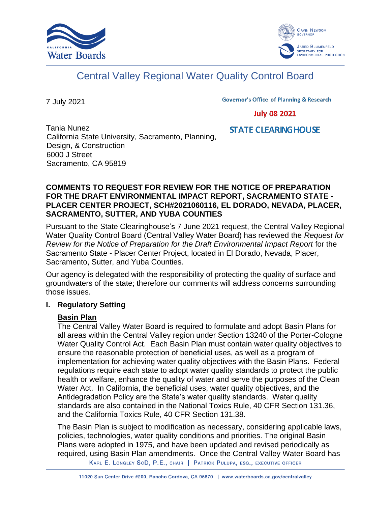



# Central Valley Regional Water Quality Control Board

7 July 2021

**Governor's Office of Planning & Research** 

**July 08 2021** 

Tania Nunez California State University, Sacramento, Planning, Design, & Construction 6000 J Street Sacramento, CA 95819

**STATE CLEARING HOUSE** 

### **COMMENTS TO REQUEST FOR REVIEW FOR THE NOTICE OF PREPARATION FOR THE DRAFT ENVIRONMENTAL IMPACT REPORT, SACRAMENTO STATE - PLACER CENTER PROJECT, SCH#2021060116, EL DORADO, NEVADA, PLACER, SACRAMENTO, SUTTER, AND YUBA COUNTIES**

Pursuant to the State Clearinghouse's 7 June 2021 request, the Central Valley Regional Water Quality Control Board (Central Valley Water Board) has reviewed the *Request for Review for the Notice of Preparation for the Draft Environmental Impact Report* for the Sacramento State - Placer Center Project, located in El Dorado, Nevada, Placer, Sacramento, Sutter, and Yuba Counties.

Our agency is delegated with the responsibility of protecting the quality of surface and groundwaters of the state; therefore our comments will address concerns surrounding those issues.

# **I. Regulatory Setting**

# **Basin Plan**

The Central Valley Water Board is required to formulate and adopt Basin Plans for all areas within the Central Valley region under Section 13240 of the Porter-Cologne Water Quality Control Act. Each Basin Plan must contain water quality objectives to ensure the reasonable protection of beneficial uses, as well as a program of implementation for achieving water quality objectives with the Basin Plans. Federal regulations require each state to adopt water quality standards to protect the public health or welfare, enhance the quality of water and serve the purposes of the Clean Water Act. In California, the beneficial uses, water quality objectives, and the Antidegradation Policy are the State's water quality standards. Water quality standards are also contained in the National Toxics Rule, 40 CFR Section 131.36, and the California Toxics Rule, 40 CFR Section 131.38.

The Basin Plan is subject to modification as necessary, considering applicable laws, policies, technologies, water quality conditions and priorities. The original Basin Plans were adopted in 1975, and have been updated and revised periodically as required, using Basin Plan amendments. Once the Central Valley Water Board has

KARL E. LONGLEY SCD, P.E., CHAIR | PATRICK PULUPA, ESQ., EXECUTIVE OFFICER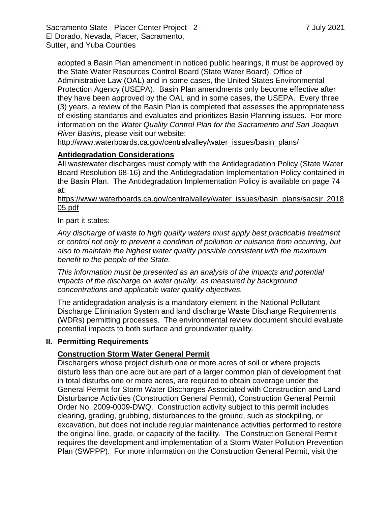Sacramento State - Placer Center Project - 2 - 7 July 2021 El Dorado, Nevada, Placer, Sacramento, Sutter, and Yuba Counties

adopted a Basin Plan amendment in noticed public hearings, it must be approved by the State Water Resources Control Board (State Water Board), Office of Administrative Law (OAL) and in some cases, the United States Environmental Protection Agency (USEPA). Basin Plan amendments only become effective after they have been approved by the OAL and in some cases, the USEPA. Every three (3) years, a review of the Basin Plan is completed that assesses the appropriateness of existing standards and evaluates and prioritizes Basin Planning issues. For more information on the *Water Quality Control Plan for the Sacramento and San Joaquin River Basins*, please visit our website:

[http://www.waterboards.ca.gov/centralvalley/water\\_issues/basin\\_plans/](http://www.waterboards.ca.gov/centralvalley/water_issues/basin_plans/)

# **Antidegradation Considerations**

All wastewater discharges must comply with the Antidegradation Policy (State Water Board Resolution 68-16) and the Antidegradation Implementation Policy contained in the Basin Plan. The Antidegradation Implementation Policy is available on page 74 at:

https://www.waterboards.ca.gov/centralvalley/water\_issues/basin\_plans/sacsjr\_2018 05.pdf

In part it states:

*Any discharge of waste to high quality waters must apply best practicable treatment or control not only to prevent a condition of pollution or nuisance from occurring, but also to maintain the highest water quality possible consistent with the maximum benefit to the people of the State.*

*This information must be presented as an analysis of the impacts and potential impacts of the discharge on water quality, as measured by background concentrations and applicable water quality objectives.*

The antidegradation analysis is a mandatory element in the National Pollutant Discharge Elimination System and land discharge Waste Discharge Requirements (WDRs) permitting processes. The environmental review document should evaluate potential impacts to both surface and groundwater quality.

# **II. Permitting Requirements**

# **Construction Storm Water General Permit**

Dischargers whose project disturb one or more acres of soil or where projects disturb less than one acre but are part of a larger common plan of development that in total disturbs one or more acres, are required to obtain coverage under the General Permit for Storm Water Discharges Associated with Construction and Land Disturbance Activities (Construction General Permit), Construction General Permit Order No. 2009-0009-DWQ. Construction activity subject to this permit includes clearing, grading, grubbing, disturbances to the ground, such as stockpiling, or excavation, but does not include regular maintenance activities performed to restore the original line, grade, or capacity of the facility. The Construction General Permit requires the development and implementation of a Storm Water Pollution Prevention Plan (SWPPP). For more information on the Construction General Permit, visit the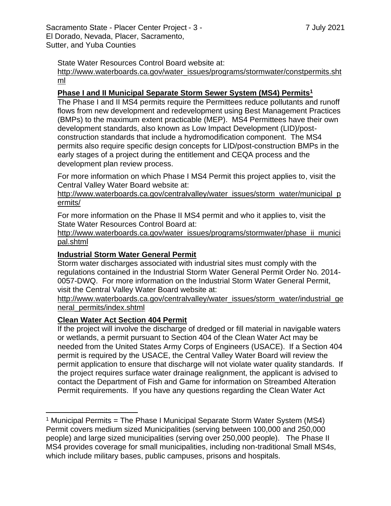Sacramento State - Placer Center Project - 3 - 7 July 2021 El Dorado, Nevada, Placer, Sacramento, Sutter, and Yuba Counties

State Water Resources Control Board website at:

[http://www.waterboards.ca.gov/water\\_issues/programs/stormwater/constpermits.sht](http://www.waterboards.ca.gov/water_issues/programs/stormwater/constpermits.shtml) [ml](http://www.waterboards.ca.gov/water_issues/programs/stormwater/constpermits.shtml)

#### **Phase I and II Municipal Separate Storm Sewer System (MS4) Permits<sup>1</sup>**

The Phase I and II MS4 permits require the Permittees reduce pollutants and runoff flows from new development and redevelopment using Best Management Practices (BMPs) to the maximum extent practicable (MEP). MS4 Permittees have their own development standards, also known as Low Impact Development (LID)/postconstruction standards that include a hydromodification component. The MS4 permits also require specific design concepts for LID/post-construction BMPs in the early stages of a project during the entitlement and CEQA process and the development plan review process.

For more information on which Phase I MS4 Permit this project applies to, visit the Central Valley Water Board website at:

http://www.waterboards.ca.gov/centralvalley/water\_issues/storm\_water/municipal\_p ermits/

For more information on the Phase II MS4 permit and who it applies to, visit the State Water Resources Control Board at:

http://www.waterboards.ca.gov/water\_issues/programs/stormwater/phase\_ii\_munici pal.shtml

#### **Industrial Storm Water General Permit**

Storm water discharges associated with industrial sites must comply with the regulations contained in the Industrial Storm Water General Permit Order No. 2014- 0057-DWQ. For more information on the Industrial Storm Water General Permit, visit the Central Valley Water Board website at:

http://www.waterboards.ca.gov/centralvalley/water\_issues/storm\_water/industrial\_ge neral\_permits/index.shtml

#### **Clean Water Act Section 404 Permit**

If the project will involve the discharge of dredged or fill material in navigable waters or wetlands, a permit pursuant to Section 404 of the Clean Water Act may be needed from the United States Army Corps of Engineers (USACE). If a Section 404 permit is required by the USACE, the Central Valley Water Board will review the permit application to ensure that discharge will not violate water quality standards. If the project requires surface water drainage realignment, the applicant is advised to contact the Department of Fish and Game for information on Streambed Alteration Permit requirements. If you have any questions regarding the Clean Water Act

<sup>&</sup>lt;sup>1</sup> Municipal Permits = The Phase I Municipal Separate Storm Water System (MS4) Permit covers medium sized Municipalities (serving between 100,000 and 250,000 people) and large sized municipalities (serving over 250,000 people). The Phase II MS4 provides coverage for small municipalities, including non-traditional Small MS4s, which include military bases, public campuses, prisons and hospitals.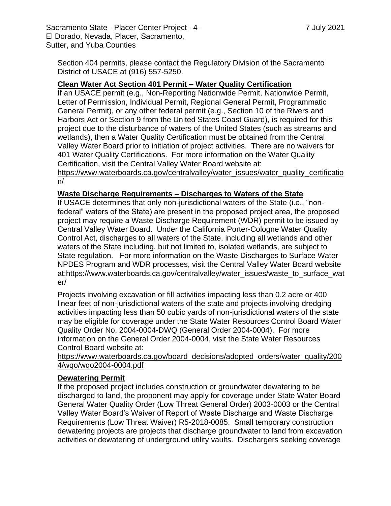Section 404 permits, please contact the Regulatory Division of the Sacramento District of USACE at (916) 557-5250.

#### **Clean Water Act Section 401 Permit – Water Quality Certification**

If an USACE permit (e.g., Non-Reporting Nationwide Permit, Nationwide Permit, Letter of Permission, Individual Permit, Regional General Permit, Programmatic General Permit), or any other federal permit (e.g., Section 10 of the Rivers and Harbors Act or Section 9 from the United States Coast Guard), is required for this project due to the disturbance of waters of the United States (such as streams and wetlands), then a Water Quality Certification must be obtained from the Central Valley Water Board prior to initiation of project activities. There are no waivers for 401 Water Quality Certifications. For more information on the Water Quality Certification, visit the Central Valley Water Board website at:

https://www.waterboards.ca.gov/centralvalley/water\_issues/water\_quality\_certificatio n/

#### **Waste Discharge Requirements – Discharges to Waters of the State**

If USACE determines that only non-jurisdictional waters of the State (i.e., "nonfederal" waters of the State) are present in the proposed project area, the proposed project may require a Waste Discharge Requirement (WDR) permit to be issued by Central Valley Water Board. Under the California Porter-Cologne Water Quality Control Act, discharges to all waters of the State, including all wetlands and other waters of the State including, but not limited to, isolated wetlands, are subject to State regulation. For more information on the Waste Discharges to Surface Water NPDES Program and WDR processes, visit the Central Valley Water Board website at:https://www.waterboards.ca.gov/centralvalley/water\_issues/waste\_to\_surface\_wat er/

Projects involving excavation or fill activities impacting less than 0.2 acre or 400 linear feet of non-jurisdictional waters of the state and projects involving dredging activities impacting less than 50 cubic yards of non-jurisdictional waters of the state may be eligible for coverage under the State Water Resources Control Board Water Quality Order No. 2004-0004-DWQ (General Order 2004-0004). For more information on the General Order 2004-0004, visit the State Water Resources Control Board website at:

https://www.waterboards.ca.gov/board\_decisions/adopted\_orders/water\_quality/200 4/wqo/wqo2004-0004.pdf

#### **Dewatering Permit**

If the proposed project includes construction or groundwater dewatering to be discharged to land, the proponent may apply for coverage under State Water Board General Water Quality Order (Low Threat General Order) 2003-0003 or the Central Valley Water Board's Waiver of Report of Waste Discharge and Waste Discharge Requirements (Low Threat Waiver) R5-2018-0085. Small temporary construction dewatering projects are projects that discharge groundwater to land from excavation activities or dewatering of underground utility vaults. Dischargers seeking coverage